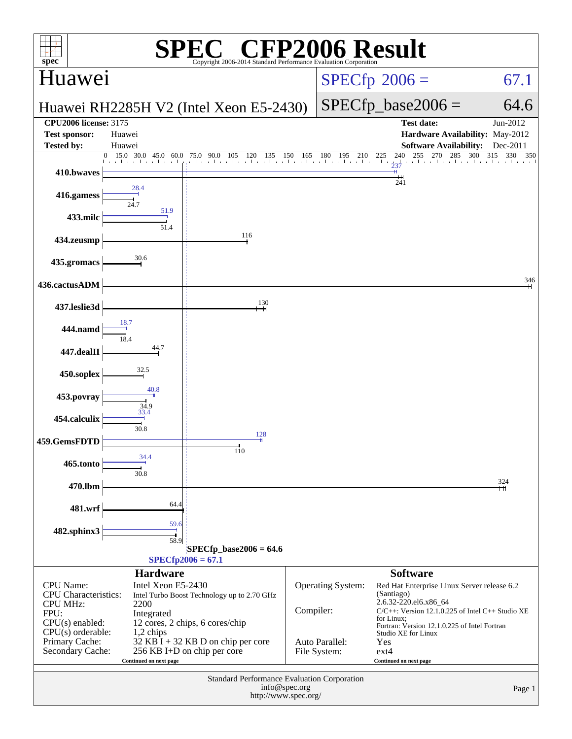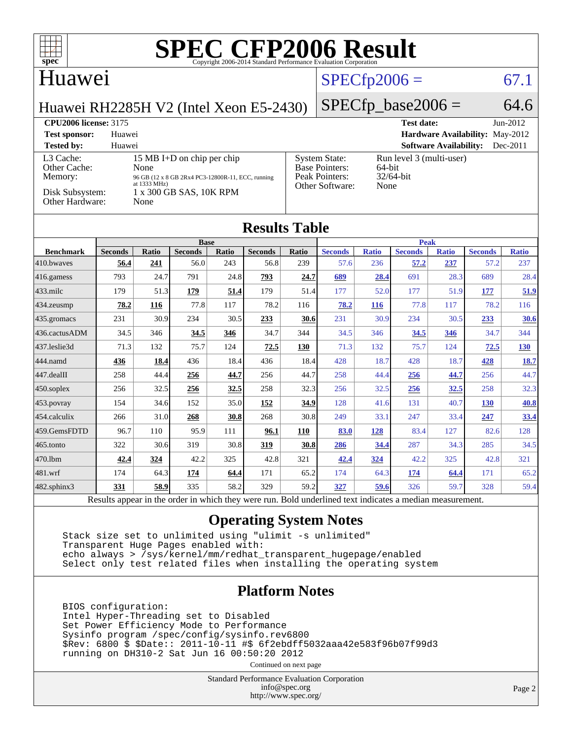

#### Huawei

## $SPECTp2006 = 67.1$

Huawei RH2285H V2 (Intel Xeon E5-2430)

#### $SPECfp\_base2006 = 64.6$

#### **[CPU2006 license:](http://www.spec.org/auto/cpu2006/Docs/result-fields.html#CPU2006license)** 3175 **[Test date:](http://www.spec.org/auto/cpu2006/Docs/result-fields.html#Testdate)** Jun-2012 **[Test sponsor:](http://www.spec.org/auto/cpu2006/Docs/result-fields.html#Testsponsor)** Huawei **[Hardware Availability:](http://www.spec.org/auto/cpu2006/Docs/result-fields.html#HardwareAvailability)** May-2012 **[Tested by:](http://www.spec.org/auto/cpu2006/Docs/result-fields.html#Testedby)** Huawei **[Software Availability:](http://www.spec.org/auto/cpu2006/Docs/result-fields.html#SoftwareAvailability)** Dec-2011 [L3 Cache:](http://www.spec.org/auto/cpu2006/Docs/result-fields.html#L3Cache) 15 MB I+D on chip per chip<br>Other Cache: None [Other Cache:](http://www.spec.org/auto/cpu2006/Docs/result-fields.html#OtherCache) [Memory:](http://www.spec.org/auto/cpu2006/Docs/result-fields.html#Memory) 96 GB (12 x 8 GB 2Rx4 PC3-12800R-11, ECC, running at 1333 MHz) [Disk Subsystem:](http://www.spec.org/auto/cpu2006/Docs/result-fields.html#DiskSubsystem) 1 x 300 GB SAS, 10K RPM<br>Other Hardware: None [Other Hardware:](http://www.spec.org/auto/cpu2006/Docs/result-fields.html#OtherHardware) [System State:](http://www.spec.org/auto/cpu2006/Docs/result-fields.html#SystemState) Run level 3 (multi-user)<br>Base Pointers: 64-bit [Base Pointers:](http://www.spec.org/auto/cpu2006/Docs/result-fields.html#BasePointers) 64-bit<br>Peak Pointers: 32/64-bit [Peak Pointers:](http://www.spec.org/auto/cpu2006/Docs/result-fields.html#PeakPointers) [Other Software:](http://www.spec.org/auto/cpu2006/Docs/result-fields.html#OtherSoftware) None

#### **[Results Table](http://www.spec.org/auto/cpu2006/Docs/result-fields.html#ResultsTable)**

|                                                                                                                                                                   | <b>Base</b>    |              |                |       | <b>Peak</b>    |       |                |              |                |              |                |              |
|-------------------------------------------------------------------------------------------------------------------------------------------------------------------|----------------|--------------|----------------|-------|----------------|-------|----------------|--------------|----------------|--------------|----------------|--------------|
| <b>Benchmark</b>                                                                                                                                                  | <b>Seconds</b> | <b>Ratio</b> | <b>Seconds</b> | Ratio | <b>Seconds</b> | Ratio | <b>Seconds</b> | <b>Ratio</b> | <b>Seconds</b> | <b>Ratio</b> | <b>Seconds</b> | <b>Ratio</b> |
| 410.bwayes                                                                                                                                                        | 56.4           | 241          | 56.0           | 243   | 56.8           | 239   | 57.6           | 236          | 57.2           | 237          | 57.2           | 237          |
| $416$ .gamess                                                                                                                                                     | 793            | 24.7         | 791            | 24.8  | 793            | 24.7  | 689            | 28.4         | 691            | 28.3         | 689            | 28.4         |
| $433$ .milc                                                                                                                                                       | 179            | 51.3         | <u>179</u>     | 51.4  | 179            | 51.4  | 177            | 52.0         | 177            | 51.9         | <u>177</u>     | 51.9         |
| $434$ . zeusmp                                                                                                                                                    | 78.2           | 116          | 77.8           | 117   | 78.2           | 116   | 78.2           | <u>116</u>   | 77.8           | 117          | 78.2           | 116          |
| 435.gromacs                                                                                                                                                       | 231            | 30.9         | 234            | 30.5  | 233            | 30.6  | 231            | 30.9         | 234            | 30.5         | 233            | 30.6         |
| 436.cactusADM                                                                                                                                                     | 34.5           | 346          | 34.5           | 346   | 34.7           | 344   | 34.5           | 346          | 34.5           | 346          | 34.7           | 344          |
| 437.leslie3d                                                                                                                                                      | 71.3           | 132          | 75.7           | 124   | 72.5           | 130   | 71.3           | 132          | 75.7           | 124          | 72.5           | <b>130</b>   |
| 444.namd                                                                                                                                                          | 436            | 18.4         | 436            | 18.4  | 436            | 18.4  | 428            | 18.7         | 428            | 18.7         | 428            | <b>18.7</b>  |
| 447.dealII                                                                                                                                                        | 258            | 44.4         | 256            | 44.7  | 256            | 44.7  | 258            | 44.4         | 256            | 44.7         | 256            | 44.7         |
| $450$ .soplex                                                                                                                                                     | 256            | 32.5         | 256            | 32.5  | 258            | 32.3  | 256            | 32.5         | <b>256</b>     | <u>32.5</u>  | 258            | 32.3         |
| $ 453$ . povray                                                                                                                                                   | 154            | 34.6         | 152            | 35.0  | 152            | 34.9  | 128            | 41.6         | 131            | 40.7         | <b>130</b>     | 40.8         |
| 454.calculix                                                                                                                                                      | 266            | 31.0         | 268            | 30.8  | 268            | 30.8  | 249            | 33.1         | 247            | 33.4         | 247            | 33.4         |
| 459.GemsFDTD                                                                                                                                                      | 96.7           | 110          | 95.9           | 111   | 96.1           | 110   | 83.0           | 128          | 83.4           | 127          | 82.6           | 128          |
| $465$ .tonto                                                                                                                                                      | 322            | 30.6         | 319            | 30.8  | 319            | 30.8  | <b>286</b>     | 34.4         | 287            | 34.3         | 285            | 34.5         |
| 470.1bm                                                                                                                                                           | 42.4           | 324          | 42.2           | 325   | 42.8           | 321   | 42.4           | <u>324</u>   | 42.2           | 325          | 42.8           | 321          |
| 481.wrf                                                                                                                                                           | 174            | 64.3         | 174            | 64.4  | 171            | 65.2  | 174            | 64.3         | 174            | 64.4         | 171            | 65.2         |
| 482.sphinx3                                                                                                                                                       | <u>331</u>     | 58.9         | 335            | 58.2  | 329            | 59.2  | 327            | 59.6         | 326            | 59.7         | 328            | 59.4         |
| $\sim$ $\sim$ $\sim$ $\sim$<br>$\cdot$<br>$\bullet$ $\bullet$ $\bullet$<br>$\sim$ $\sim$<br>1.1.1.1<br>$T = 11$<br>1.11<br>$\blacksquare$<br>D.<br>$\mathbf{I}$ . |                |              |                |       |                |       |                |              |                |              |                |              |

Results appear in the [order in which they were run.](http://www.spec.org/auto/cpu2006/Docs/result-fields.html#RunOrder) Bold underlined text [indicates a median measurement.](http://www.spec.org/auto/cpu2006/Docs/result-fields.html#Median)

#### **[Operating System Notes](http://www.spec.org/auto/cpu2006/Docs/result-fields.html#OperatingSystemNotes)**

 Stack size set to unlimited using "ulimit -s unlimited" Transparent Huge Pages enabled with: echo always > /sys/kernel/mm/redhat\_transparent\_hugepage/enabled Select only test related files when installing the operating system

#### **[Platform Notes](http://www.spec.org/auto/cpu2006/Docs/result-fields.html#PlatformNotes)**

 BIOS configuration: Intel Hyper-Threading set to Disabled Set Power Efficiency Mode to Performance Sysinfo program /spec/config/sysinfo.rev6800 \$Rev: 6800 \$ \$Date:: 2011-10-11 #\$ 6f2ebdff5032aaa42e583f96b07f99d3 running on DH310-2 Sat Jun 16 00:50:20 2012

Continued on next page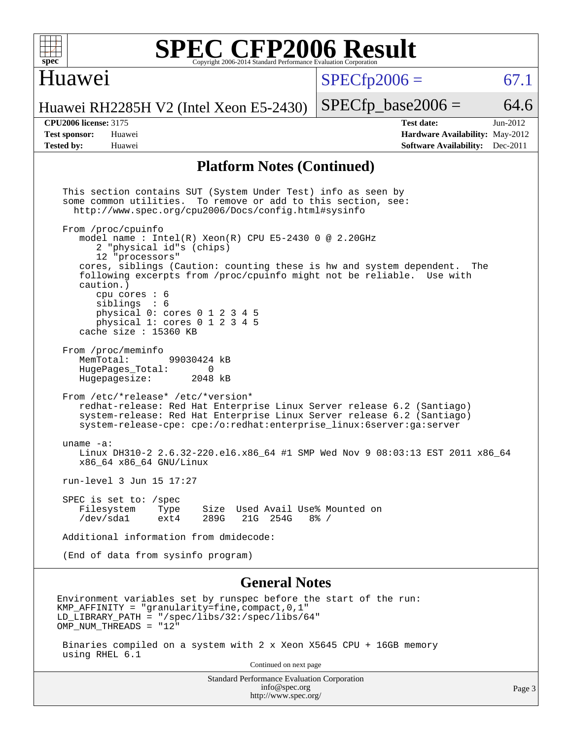#### Huawei

 $SPECTp2006 = 67.1$ 

Huawei RH2285H V2 (Intel Xeon E5-2430)

**[Tested by:](http://www.spec.org/auto/cpu2006/Docs/result-fields.html#Testedby)** Huawei **[Software Availability:](http://www.spec.org/auto/cpu2006/Docs/result-fields.html#SoftwareAvailability)** Dec-2011

**[CPU2006 license:](http://www.spec.org/auto/cpu2006/Docs/result-fields.html#CPU2006license)** 3175 **[Test date:](http://www.spec.org/auto/cpu2006/Docs/result-fields.html#Testdate)** Jun-2012 **[Test sponsor:](http://www.spec.org/auto/cpu2006/Docs/result-fields.html#Testsponsor)** Huawei **[Hardware Availability:](http://www.spec.org/auto/cpu2006/Docs/result-fields.html#HardwareAvailability)** May-2012

 $SPECTp\_base2006 = 64.6$ 

#### **[Platform Notes \(Continued\)](http://www.spec.org/auto/cpu2006/Docs/result-fields.html#PlatformNotes)**

 This section contains SUT (System Under Test) info as seen by some common utilities. To remove or add to this section, see: <http://www.spec.org/cpu2006/Docs/config.html#sysinfo> From /proc/cpuinfo model name : Intel(R)  $Xeon(R)$  CPU E5-2430 0 @ 2.20GHz 2 "physical id"s (chips) 12 "processors" cores, siblings (Caution: counting these is hw and system dependent. The following excerpts from /proc/cpuinfo might not be reliable. Use with caution.) cpu cores : 6 siblings : 6 physical 0: cores 0 1 2 3 4 5 physical 1: cores 0 1 2 3 4 5 cache size : 15360 KB From /proc/meminfo<br>MemTotal: 99030424 kB HugePages\_Total: 0<br>Hugepagesize: 2048 kB Hugepagesize: From /etc/\*release\* /etc/\*version\* redhat-release: Red Hat Enterprise Linux Server release 6.2 (Santiago) system-release: Red Hat Enterprise Linux Server release 6.2 (Santiago) system-release-cpe: cpe:/o:redhat:enterprise\_linux:6server:ga:server uname -a: Linux DH310-2 2.6.32-220.el6.x86\_64 #1 SMP Wed Nov 9 08:03:13 EST 2011 x86\_64 x86\_64 x86\_64 GNU/Linux run-level 3 Jun 15 17:27 SPEC is set to: /spec Filesystem Type Size Used Avail Use% Mounted on<br>/dev/sda1 ext4 289G 21G 254G 8% / /dev/sda1 ext4 289G 21G 254G 8% / Additional information from dmidecode: (End of data from sysinfo program) **[General Notes](http://www.spec.org/auto/cpu2006/Docs/result-fields.html#GeneralNotes)** Environment variables set by runspec before the start of the run: KMP AFFINITY = "granularity=fine, compact,  $0,1$ " LD\_LIBRARY\_PATH = "/spec/libs/32:/spec/libs/64" OMP\_NUM\_THREADS = "12"

 Binaries compiled on a system with 2 x Xeon X5645 CPU + 16GB memory using RHEL 6.1

Continued on next page

Standard Performance Evaluation Corporation [info@spec.org](mailto:info@spec.org) <http://www.spec.org/>

Page 3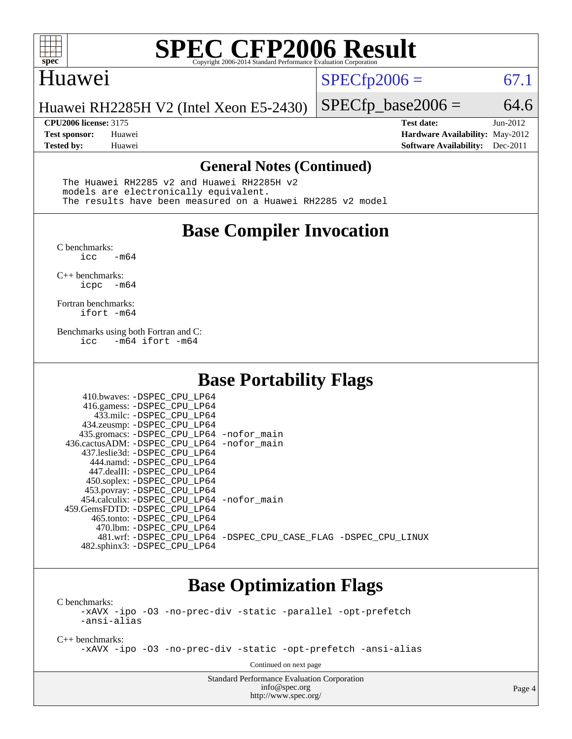

#### Huawei

 $SPECTp2006 = 67.1$ 

Huawei RH2285H V2 (Intel Xeon E5-2430)

**[Tested by:](http://www.spec.org/auto/cpu2006/Docs/result-fields.html#Testedby)** Huawei **[Software Availability:](http://www.spec.org/auto/cpu2006/Docs/result-fields.html#SoftwareAvailability)** Dec-2011

 $SPECfp\_base2006 = 64.6$ **[CPU2006 license:](http://www.spec.org/auto/cpu2006/Docs/result-fields.html#CPU2006license)** 3175 **[Test date:](http://www.spec.org/auto/cpu2006/Docs/result-fields.html#Testdate)** Jun-2012 **[Test sponsor:](http://www.spec.org/auto/cpu2006/Docs/result-fields.html#Testsponsor)** Huawei **[Hardware Availability:](http://www.spec.org/auto/cpu2006/Docs/result-fields.html#HardwareAvailability)** May-2012

#### **[General Notes \(Continued\)](http://www.spec.org/auto/cpu2006/Docs/result-fields.html#GeneralNotes)**

 The Huawei RH2285 v2 and Huawei RH2285H v2 models are electronically equivalent. The results have been measured on a Huawei RH2285 v2 model

## **[Base Compiler Invocation](http://www.spec.org/auto/cpu2006/Docs/result-fields.html#BaseCompilerInvocation)**

[C benchmarks](http://www.spec.org/auto/cpu2006/Docs/result-fields.html#Cbenchmarks): -m64

[C++ benchmarks:](http://www.spec.org/auto/cpu2006/Docs/result-fields.html#CXXbenchmarks) [icpc -m64](http://www.spec.org/cpu2006/results/res2014q3/cpu2006-20140626-30026.flags.html#user_CXXbase_intel_icpc_64bit_bedb90c1146cab66620883ef4f41a67e)

[Fortran benchmarks](http://www.spec.org/auto/cpu2006/Docs/result-fields.html#Fortranbenchmarks): [ifort -m64](http://www.spec.org/cpu2006/results/res2014q3/cpu2006-20140626-30026.flags.html#user_FCbase_intel_ifort_64bit_ee9d0fb25645d0210d97eb0527dcc06e)

[Benchmarks using both Fortran and C](http://www.spec.org/auto/cpu2006/Docs/result-fields.html#BenchmarksusingbothFortranandC): [icc -m64](http://www.spec.org/cpu2006/results/res2014q3/cpu2006-20140626-30026.flags.html#user_CC_FCbase_intel_icc_64bit_0b7121f5ab7cfabee23d88897260401c) [ifort -m64](http://www.spec.org/cpu2006/results/res2014q3/cpu2006-20140626-30026.flags.html#user_CC_FCbase_intel_ifort_64bit_ee9d0fb25645d0210d97eb0527dcc06e)

## **[Base Portability Flags](http://www.spec.org/auto/cpu2006/Docs/result-fields.html#BasePortabilityFlags)**

| 410.bwaves: -DSPEC CPU LP64<br>416.gamess: -DSPEC_CPU_LP64<br>433.milc: -DSPEC CPU LP64<br>434.zeusmp: -DSPEC_CPU_LP64<br>435.gromacs: -DSPEC_CPU_LP64 -nofor_main<br>436.cactusADM: - DSPEC CPU LP64 - nofor main<br>437.leslie3d: -DSPEC_CPU LP64<br>444.namd: -DSPEC CPU LP64<br>447.dealII: -DSPEC CPU LP64 |                                                                |
|-----------------------------------------------------------------------------------------------------------------------------------------------------------------------------------------------------------------------------------------------------------------------------------------------------------------|----------------------------------------------------------------|
| 450.soplex: -DSPEC_CPU_LP64<br>453.povray: -DSPEC_CPU_LP64<br>454.calculix: - DSPEC CPU LP64 - nofor main<br>459. GemsFDTD: - DSPEC CPU LP64                                                                                                                                                                    |                                                                |
| 465.tonto: - DSPEC CPU LP64<br>470.1bm: -DSPEC CPU LP64<br>482.sphinx3: -DSPEC_CPU_LP64                                                                                                                                                                                                                         | 481.wrf: -DSPEC_CPU_LP64 -DSPEC_CPU_CASE_FLAG -DSPEC_CPU_LINUX |

## **[Base Optimization Flags](http://www.spec.org/auto/cpu2006/Docs/result-fields.html#BaseOptimizationFlags)**

[C benchmarks](http://www.spec.org/auto/cpu2006/Docs/result-fields.html#Cbenchmarks):

[-xAVX](http://www.spec.org/cpu2006/results/res2014q3/cpu2006-20140626-30026.flags.html#user_CCbase_f-xAVX) [-ipo](http://www.spec.org/cpu2006/results/res2014q3/cpu2006-20140626-30026.flags.html#user_CCbase_f-ipo) [-O3](http://www.spec.org/cpu2006/results/res2014q3/cpu2006-20140626-30026.flags.html#user_CCbase_f-O3) [-no-prec-div](http://www.spec.org/cpu2006/results/res2014q3/cpu2006-20140626-30026.flags.html#user_CCbase_f-no-prec-div) [-static](http://www.spec.org/cpu2006/results/res2014q3/cpu2006-20140626-30026.flags.html#user_CCbase_f-static) [-parallel](http://www.spec.org/cpu2006/results/res2014q3/cpu2006-20140626-30026.flags.html#user_CCbase_f-parallel) [-opt-prefetch](http://www.spec.org/cpu2006/results/res2014q3/cpu2006-20140626-30026.flags.html#user_CCbase_f-opt-prefetch) [-ansi-alias](http://www.spec.org/cpu2006/results/res2014q3/cpu2006-20140626-30026.flags.html#user_CCbase_f-ansi-alias)

[C++ benchmarks:](http://www.spec.org/auto/cpu2006/Docs/result-fields.html#CXXbenchmarks)

[-xAVX](http://www.spec.org/cpu2006/results/res2014q3/cpu2006-20140626-30026.flags.html#user_CXXbase_f-xAVX) [-ipo](http://www.spec.org/cpu2006/results/res2014q3/cpu2006-20140626-30026.flags.html#user_CXXbase_f-ipo) [-O3](http://www.spec.org/cpu2006/results/res2014q3/cpu2006-20140626-30026.flags.html#user_CXXbase_f-O3) [-no-prec-div](http://www.spec.org/cpu2006/results/res2014q3/cpu2006-20140626-30026.flags.html#user_CXXbase_f-no-prec-div) [-static](http://www.spec.org/cpu2006/results/res2014q3/cpu2006-20140626-30026.flags.html#user_CXXbase_f-static) [-opt-prefetch](http://www.spec.org/cpu2006/results/res2014q3/cpu2006-20140626-30026.flags.html#user_CXXbase_f-opt-prefetch) [-ansi-alias](http://www.spec.org/cpu2006/results/res2014q3/cpu2006-20140626-30026.flags.html#user_CXXbase_f-ansi-alias)

Continued on next page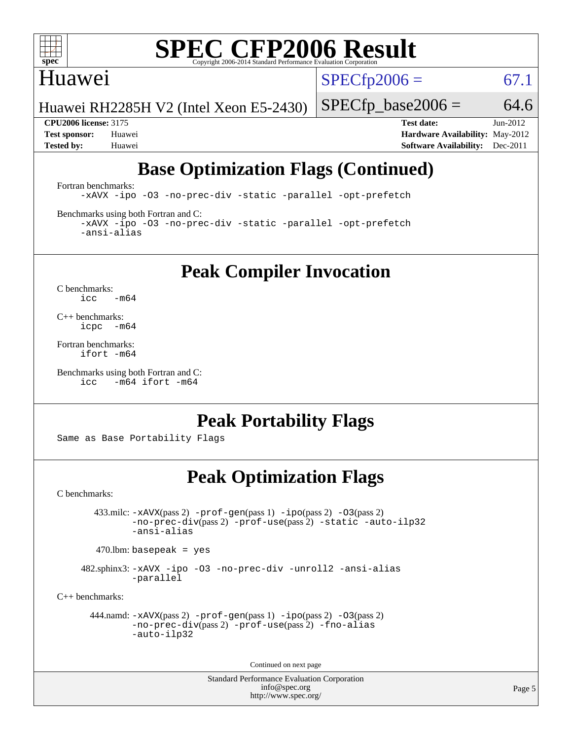

#### Huawei

 $SPECTp2006 = 67.1$ 

Huawei RH2285H V2 (Intel Xeon E5-2430)

 $SPECfp\_base2006 = 64.6$ 

**[CPU2006 license:](http://www.spec.org/auto/cpu2006/Docs/result-fields.html#CPU2006license)** 3175 **[Test date:](http://www.spec.org/auto/cpu2006/Docs/result-fields.html#Testdate)** Jun-2012 **[Test sponsor:](http://www.spec.org/auto/cpu2006/Docs/result-fields.html#Testsponsor)** Huawei **[Hardware Availability:](http://www.spec.org/auto/cpu2006/Docs/result-fields.html#HardwareAvailability)** May-2012 **[Tested by:](http://www.spec.org/auto/cpu2006/Docs/result-fields.html#Testedby)** Huawei **[Software Availability:](http://www.spec.org/auto/cpu2006/Docs/result-fields.html#SoftwareAvailability)** Dec-2011

## **[Base Optimization Flags \(Continued\)](http://www.spec.org/auto/cpu2006/Docs/result-fields.html#BaseOptimizationFlags)**

[Fortran benchmarks](http://www.spec.org/auto/cpu2006/Docs/result-fields.html#Fortranbenchmarks):

[-xAVX](http://www.spec.org/cpu2006/results/res2014q3/cpu2006-20140626-30026.flags.html#user_FCbase_f-xAVX) [-ipo](http://www.spec.org/cpu2006/results/res2014q3/cpu2006-20140626-30026.flags.html#user_FCbase_f-ipo) [-O3](http://www.spec.org/cpu2006/results/res2014q3/cpu2006-20140626-30026.flags.html#user_FCbase_f-O3) [-no-prec-div](http://www.spec.org/cpu2006/results/res2014q3/cpu2006-20140626-30026.flags.html#user_FCbase_f-no-prec-div) [-static](http://www.spec.org/cpu2006/results/res2014q3/cpu2006-20140626-30026.flags.html#user_FCbase_f-static) [-parallel](http://www.spec.org/cpu2006/results/res2014q3/cpu2006-20140626-30026.flags.html#user_FCbase_f-parallel) [-opt-prefetch](http://www.spec.org/cpu2006/results/res2014q3/cpu2006-20140626-30026.flags.html#user_FCbase_f-opt-prefetch)

[Benchmarks using both Fortran and C](http://www.spec.org/auto/cpu2006/Docs/result-fields.html#BenchmarksusingbothFortranandC):

[-xAVX](http://www.spec.org/cpu2006/results/res2014q3/cpu2006-20140626-30026.flags.html#user_CC_FCbase_f-xAVX) [-ipo](http://www.spec.org/cpu2006/results/res2014q3/cpu2006-20140626-30026.flags.html#user_CC_FCbase_f-ipo) [-O3](http://www.spec.org/cpu2006/results/res2014q3/cpu2006-20140626-30026.flags.html#user_CC_FCbase_f-O3) [-no-prec-div](http://www.spec.org/cpu2006/results/res2014q3/cpu2006-20140626-30026.flags.html#user_CC_FCbase_f-no-prec-div) [-static](http://www.spec.org/cpu2006/results/res2014q3/cpu2006-20140626-30026.flags.html#user_CC_FCbase_f-static) [-parallel](http://www.spec.org/cpu2006/results/res2014q3/cpu2006-20140626-30026.flags.html#user_CC_FCbase_f-parallel) [-opt-prefetch](http://www.spec.org/cpu2006/results/res2014q3/cpu2006-20140626-30026.flags.html#user_CC_FCbase_f-opt-prefetch) [-ansi-alias](http://www.spec.org/cpu2006/results/res2014q3/cpu2006-20140626-30026.flags.html#user_CC_FCbase_f-ansi-alias)

**[Peak Compiler Invocation](http://www.spec.org/auto/cpu2006/Docs/result-fields.html#PeakCompilerInvocation)**

[C benchmarks](http://www.spec.org/auto/cpu2006/Docs/result-fields.html#Cbenchmarks):  $\text{icc}$  -m64

[C++ benchmarks:](http://www.spec.org/auto/cpu2006/Docs/result-fields.html#CXXbenchmarks) [icpc -m64](http://www.spec.org/cpu2006/results/res2014q3/cpu2006-20140626-30026.flags.html#user_CXXpeak_intel_icpc_64bit_bedb90c1146cab66620883ef4f41a67e)

[Fortran benchmarks](http://www.spec.org/auto/cpu2006/Docs/result-fields.html#Fortranbenchmarks): [ifort -m64](http://www.spec.org/cpu2006/results/res2014q3/cpu2006-20140626-30026.flags.html#user_FCpeak_intel_ifort_64bit_ee9d0fb25645d0210d97eb0527dcc06e)

[Benchmarks using both Fortran and C](http://www.spec.org/auto/cpu2006/Docs/result-fields.html#BenchmarksusingbothFortranandC): [icc -m64](http://www.spec.org/cpu2006/results/res2014q3/cpu2006-20140626-30026.flags.html#user_CC_FCpeak_intel_icc_64bit_0b7121f5ab7cfabee23d88897260401c) [ifort -m64](http://www.spec.org/cpu2006/results/res2014q3/cpu2006-20140626-30026.flags.html#user_CC_FCpeak_intel_ifort_64bit_ee9d0fb25645d0210d97eb0527dcc06e)

## **[Peak Portability Flags](http://www.spec.org/auto/cpu2006/Docs/result-fields.html#PeakPortabilityFlags)**

Same as Base Portability Flags

## **[Peak Optimization Flags](http://www.spec.org/auto/cpu2006/Docs/result-fields.html#PeakOptimizationFlags)**

[C benchmarks](http://www.spec.org/auto/cpu2006/Docs/result-fields.html#Cbenchmarks):

 433.milc: [-xAVX](http://www.spec.org/cpu2006/results/res2014q3/cpu2006-20140626-30026.flags.html#user_peakPASS2_CFLAGSPASS2_LDFLAGS433_milc_f-xAVX)(pass 2) [-prof-gen](http://www.spec.org/cpu2006/results/res2014q3/cpu2006-20140626-30026.flags.html#user_peakPASS1_CFLAGSPASS1_LDFLAGS433_milc_prof_gen_e43856698f6ca7b7e442dfd80e94a8fc)(pass 1) [-ipo](http://www.spec.org/cpu2006/results/res2014q3/cpu2006-20140626-30026.flags.html#user_peakPASS2_CFLAGSPASS2_LDFLAGS433_milc_f-ipo)(pass 2) [-O3](http://www.spec.org/cpu2006/results/res2014q3/cpu2006-20140626-30026.flags.html#user_peakPASS2_CFLAGSPASS2_LDFLAGS433_milc_f-O3)(pass 2) [-no-prec-div](http://www.spec.org/cpu2006/results/res2014q3/cpu2006-20140626-30026.flags.html#user_peakPASS2_CFLAGSPASS2_LDFLAGS433_milc_f-no-prec-div)(pass 2) [-prof-use](http://www.spec.org/cpu2006/results/res2014q3/cpu2006-20140626-30026.flags.html#user_peakPASS2_CFLAGSPASS2_LDFLAGS433_milc_prof_use_bccf7792157ff70d64e32fe3e1250b55)(pass 2) [-static](http://www.spec.org/cpu2006/results/res2014q3/cpu2006-20140626-30026.flags.html#user_peakOPTIMIZE433_milc_f-static) [-auto-ilp32](http://www.spec.org/cpu2006/results/res2014q3/cpu2006-20140626-30026.flags.html#user_peakCOPTIMIZE433_milc_f-auto-ilp32) [-ansi-alias](http://www.spec.org/cpu2006/results/res2014q3/cpu2006-20140626-30026.flags.html#user_peakCOPTIMIZE433_milc_f-ansi-alias)

 $470.$ lbm: basepeak = yes

 482.sphinx3: [-xAVX](http://www.spec.org/cpu2006/results/res2014q3/cpu2006-20140626-30026.flags.html#user_peakOPTIMIZE482_sphinx3_f-xAVX) [-ipo](http://www.spec.org/cpu2006/results/res2014q3/cpu2006-20140626-30026.flags.html#user_peakOPTIMIZE482_sphinx3_f-ipo) [-O3](http://www.spec.org/cpu2006/results/res2014q3/cpu2006-20140626-30026.flags.html#user_peakOPTIMIZE482_sphinx3_f-O3) [-no-prec-div](http://www.spec.org/cpu2006/results/res2014q3/cpu2006-20140626-30026.flags.html#user_peakOPTIMIZE482_sphinx3_f-no-prec-div) [-unroll2](http://www.spec.org/cpu2006/results/res2014q3/cpu2006-20140626-30026.flags.html#user_peakCOPTIMIZE482_sphinx3_f-unroll_784dae83bebfb236979b41d2422d7ec2) [-ansi-alias](http://www.spec.org/cpu2006/results/res2014q3/cpu2006-20140626-30026.flags.html#user_peakCOPTIMIZE482_sphinx3_f-ansi-alias) [-parallel](http://www.spec.org/cpu2006/results/res2014q3/cpu2006-20140626-30026.flags.html#user_peakCOPTIMIZE482_sphinx3_f-parallel)

[C++ benchmarks:](http://www.spec.org/auto/cpu2006/Docs/result-fields.html#CXXbenchmarks)

```
 444.namd: -xAVX(pass 2) -prof-gen(pass 1) -ipo(pass 2) -O3(pass 2)
         -no-prec-div(pass 2) -prof-use(pass 2) -fno-alias
         -auto-ilp32
```
Continued on next page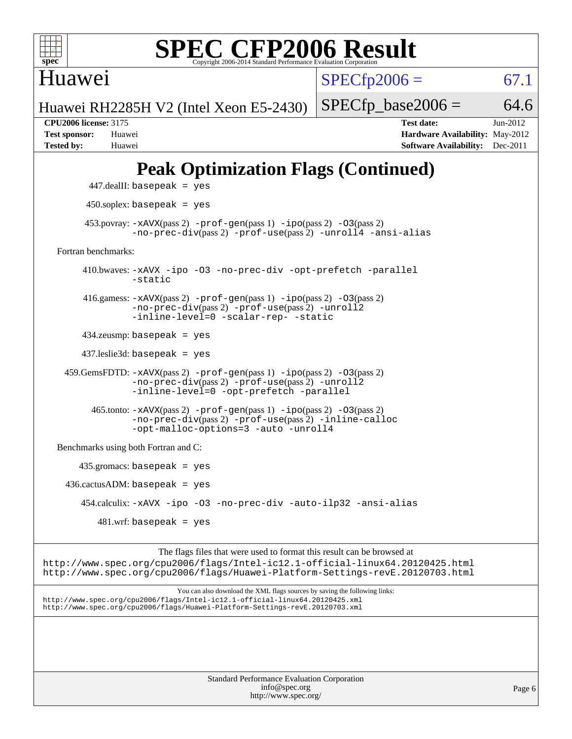

Huawei

 $SPECfp2006 = 67.1$  $SPECfp2006 = 67.1$ 

Huawei RH2285H V2 (Intel Xeon E5-2430)

 $SPECTp\_base2006 = 64.6$ **[CPU2006 license:](http://www.spec.org/auto/cpu2006/Docs/result-fields.html#CPU2006license)** 3175 **[Test date:](http://www.spec.org/auto/cpu2006/Docs/result-fields.html#Testdate)** Jun-2012 **[Test sponsor:](http://www.spec.org/auto/cpu2006/Docs/result-fields.html#Testsponsor)** Huawei **[Hardware Availability:](http://www.spec.org/auto/cpu2006/Docs/result-fields.html#HardwareAvailability)** May-2012

## **[Peak Optimization Flags \(Continued\)](http://www.spec.org/auto/cpu2006/Docs/result-fields.html#PeakOptimizationFlags)**

**[Tested by:](http://www.spec.org/auto/cpu2006/Docs/result-fields.html#Testedby)** Huawei **[Software Availability:](http://www.spec.org/auto/cpu2006/Docs/result-fields.html#SoftwareAvailability)** Dec-2011

```
 447.dealII: basepeak = yes
          450.soplex: basepeak = yes
         453.povray: -xAVX(pass 2) -prof-gen(pass 1) -ipo(pass 2) -03(pass 2)
                   -no-prec-div(pass 2) -prof-use(pass 2) -unroll4 -ansi-alias
   Fortran benchmarks: 
         410.bwaves: -xAVX -ipo -O3 -no-prec-div -opt-prefetch -parallel
                   -static
         416.gamess: -xAVX(pass 2) -prof-gen(pass 1) -ipo(pass 2) -O3(pass 2)
                   -no-prec-div(pass 2) -prof-use(pass 2) -unroll2
                   -inline-level=0 -scalar-rep- -static
         434.zeusmp: basepeak = yes
         437.leslie3d: basepeak = yes
     459.GemsFDTD: -xAVX(pass 2) -prof-gen(pass 1) -ipo(pass 2) -O3(pass 2)
                   -no-prec-div(pass 2) -prof-use(pass 2) -unroll2
                   -inline-level=0 -opt-prefetch -parallel
          465.tonto: -xAVX(pass 2) -prof-gen(pass 1) -po(pass 2) -03(pass 2)
                   -no-prec-div(pass 2) -prof-use(pass 2) -inline-calloc
                   -opt-malloc-options=3-auto-unroll4
   Benchmarks using both Fortran and C: 
        435.gromacs: basepeak = yes
    436.cactusADM:basepeak = yes 454.calculix: -xAVX -ipo -O3 -no-prec-div -auto-ilp32 -ansi-alias
           481 \text{.m}: basepeak = yes
                        The flags files that were used to format this result can be browsed at
http://www.spec.org/cpu2006/flags/Intel-ic12.1-official-linux64.20120425.html
http://www.spec.org/cpu2006/flags/Huawei-Platform-Settings-revE.20120703.html
                            You can also download the XML flags sources by saving the following links:
```
<http://www.spec.org/cpu2006/flags/Intel-ic12.1-official-linux64.20120425.xml> <http://www.spec.org/cpu2006/flags/Huawei-Platform-Settings-revE.20120703.xml>